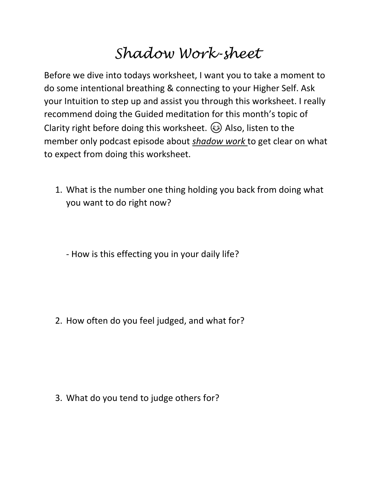## *Shadow Work-sheet*

Before we dive into todays worksheet, I want you to take a moment to do some intentional breathing & connecting to your Higher Self. Ask your Intuition to step up and assist you through this worksheet. I really recommend doing the Guided meditation for this month's topic of Clarity right before doing this worksheet.  $\circledS$  Also, listen to the member only podcast episode about *shadow work* to get clear on what to expect from doing this worksheet.

1. What is the number one thing holding you back from doing what you want to do right now?

- How is this effecting you in your daily life?

2. How often do you feel judged, and what for?

3. What do you tend to judge others for?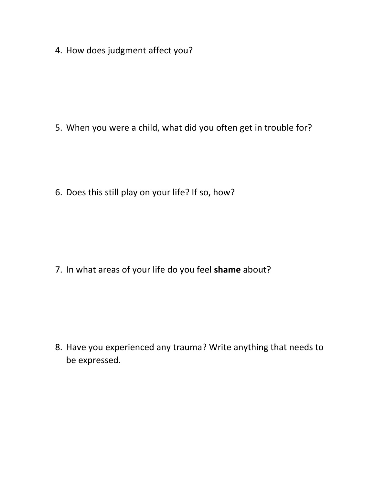4. How does judgment affect you?

5. When you were a child, what did you often get in trouble for?

6. Does this still play on your life? If so, how?

7. In what areas of your life do you feel **shame** about?

8. Have you experienced any trauma? Write anything that needs to be expressed.